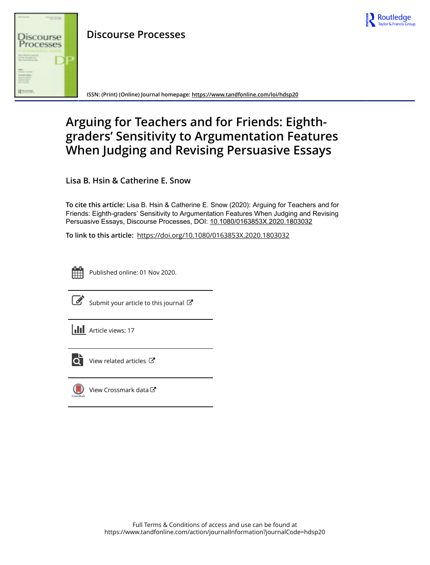

# **Discourse Processes**



**ISSN: (Print) (Online) Journal homepage:<https://www.tandfonline.com/loi/hdsp20>**

# **Arguing for Teachers and for Friends: Eighthgraders' Sensitivity to Argumentation Features When Judging and Revising Persuasive Essays**

**Lisa B. Hsin & Catherine E. Snow**

**To cite this article:** Lisa B. Hsin & Catherine E. Snow (2020): Arguing for Teachers and for Friends: Eighth-graders' Sensitivity to Argumentation Features When Judging and Revising Persuasive Essays, Discourse Processes, DOI: [10.1080/0163853X.2020.1803032](https://www.tandfonline.com/action/showCitFormats?doi=10.1080/0163853X.2020.1803032)

**To link to this article:** <https://doi.org/10.1080/0163853X.2020.1803032>



Published online: 01 Nov 2020.



 $\overline{\mathscr{L}}$  [Submit your article to this journal](https://www.tandfonline.com/action/authorSubmission?journalCode=hdsp20&show=instructions)  $\mathbb{F}$ 





 $\overrightarrow{Q}$  [View related articles](https://www.tandfonline.com/doi/mlt/10.1080/0163853X.2020.1803032)  $\overrightarrow{C}$ 



[View Crossmark data](http://crossmark.crossref.org/dialog/?doi=10.1080/0163853X.2020.1803032&domain=pdf&date_stamp=2020-11-01) $\mathbb{Z}$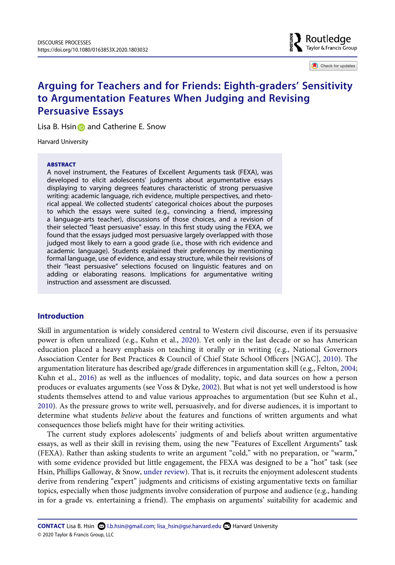**B** Routledge  $\frac{5}{8}$  Taylor & Francis Group

Check for updates

# **Arguing for Teachers and for Friends: Eighth-graders' Sensitivity to Argumentation Features When Judging and Revising Persuasive Essays**

Lisa B. Hsin and Catherine E. Snow

Harvard University

#### **ABSTRACT**

A novel instrument, the Features of Excellent Arguments task (FEXA), was developed to elicit adolescents' judgments about argumentative essays displaying to varying degrees features characteristic of strong persuasive writing: academic language, rich evidence, multiple perspectives, and rhetorical appeal. We collected students' categorical choices about the purposes to which the essays were suited (e.g., convincing a friend, impressing a language-arts teacher), discussions of those choices, and a revision of their selected "least persuasive" essay. In this first study using the FEXA, we found that the essays judged most persuasive largely overlapped with those judged most likely to earn a good grade (i.e., those with rich evidence and academic language). Students explained their preferences by mentioning formal language, use of evidence, and essay structure, while their revisions of their "least persuasive" selections focused on linguistic features and on adding or elaborating reasons. Implications for argumentative writing instruction and assessment are discussed.

# **Introduction**

<span id="page-1-5"></span><span id="page-1-3"></span><span id="page-1-2"></span><span id="page-1-0"></span>Skill in argumentation is widely considered central to Western civil discourse, even if its persuasive power is often unrealized (e.g., Kuhn et al., [2020\)](#page-19-0). Yet only in the last decade or so has American education placed a heavy emphasis on teaching it orally or in writing (e.g., National Governors Association Center for Best Practices & Council of Chief State School Officers [NGAC], [2010](#page-20-0)). The argumentation literature has described age/grade differences in argumentation skill (e.g., Felton, [2004;](#page-19-1) Kuhn et al., [2016](#page-19-2)) as well as the influences of modality, topic, and data sources on how a person produces or evaluates arguments (see Voss & Dyke, [2002\)](#page-21-0). But what is not yet well understood is how students themselves attend to and value various approaches to argumentation (but see Kuhn et al., [2010](#page-19-3)). As the pressure grows to write well, persuasively, and for diverse audiences, it is important to determine what students *believe* about the features and functions of written arguments and what consequences those beliefs might have for their writing activities.

<span id="page-1-6"></span><span id="page-1-4"></span><span id="page-1-1"></span>The current study explores adolescents' judgments of and beliefs about written argumentative essays, as well as their skill in revising them, using the new "Features of Excellent Arguments" task (FEXA). Rather than asking students to write an argument "cold," with no preparation, or "warm," with some evidence provided but little engagement, the FEXA was designed to be a "hot" task (see Hsin, Phillips Galloway, & Snow, [under review\)](#page-19-4). That is, it recruits the enjoyment adolescent students derive from rendering "expert" judgments and criticisms of existing argumentative texts on familiar topics, especially when those judgments involve consideration of purpose and audience (e.g., handing in for a grade vs. entertaining a friend). The emphasis on arguments' suitability for academic and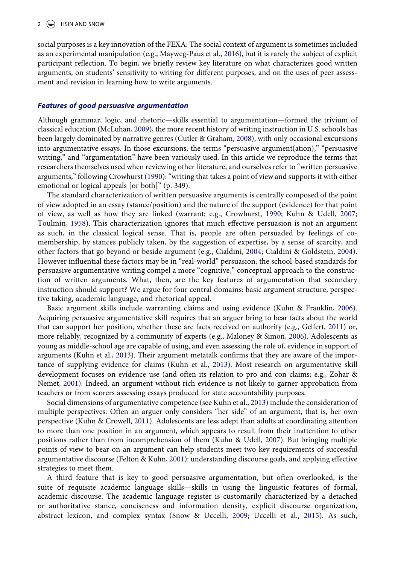<span id="page-2-10"></span>social purposes is a key innovation of the FEXA: The social context of argument is sometimes included as an experimental manipulation (e.g., Mayweg-Paus et al., [2016\)](#page-20-1), but it is rarely the subject of explicit participant reflection. To begin, we briefly review key literature on what characterizes good written arguments, on students' sensitivity to writing for different purposes, and on the uses of peer assessment and revision in learning how to write arguments.

#### *Features of good persuasive argumentation*

<span id="page-2-11"></span><span id="page-2-2"></span>Although grammar, logic, and rhetoric—skills essential to argumentation—formed the trivium of classical education (McLuhan, [2009](#page-20-2)), the more recent history of writing instruction in U.S. schools has been largely dominated by narrative genres (Cutler & Graham, [2008\)](#page-19-5), with only occasional excursions into argumentative essays. In those excursions, the terms "persuasive argument(ation)," "persuasive writing," and "argumentation" have been variously used. In this article we reproduce the terms that researchers themselves used when reviewing other literature, and ourselves refer to "written persuasive arguments," following Crowhurst ([1990](#page-19-6)): "writing that takes a point of view and supports it with either emotional or logical appeals [or both]" (p. 349).

<span id="page-2-13"></span><span id="page-2-1"></span><span id="page-2-0"></span>The standard characterization of written persuasive arguments is centrally composed of the point of view adopted in an essay (stance/position) and the nature of the support (evidence) for that point of view, as well as how they are linked (warrant; e.g., Crowhurst, [1990;](#page-19-6) Kuhn & Udell, [2007;](#page-19-7) Toulmin, [1958\)](#page-20-3). This characterization ignores that much effective persuasion is not an argument as such, in the classical logical sense. That is, people are often persuaded by feelings of comembership, by stances publicly taken, by the suggestion of expertise, by a sense of scarcity, and other factors that go beyond or beside argument (e.g., Cialdini, [2004;](#page-18-0) Cialdini & Goldstein, [2004](#page-18-1)). However influential these factors may be in "real-world" persuasion, the school-based standards for persuasive argumentative writing compel a more "cognitive," conceptual approach to the construction of written arguments. What, then, are the key features of argumentation that secondary instruction should support? We argue for four central domains: basic argument structure, perspective taking, academic language, and rhetorical appeal.

<span id="page-2-9"></span><span id="page-2-6"></span><span id="page-2-4"></span>Basic argument skills include warranting claims and using evidence (Kuhn & Franklin, [2006](#page-19-8)). Acquiring persuasive argumentative skill requires that an arguer bring to bear facts about the world that can support her position, whether these are facts received on authority (e.g., Gelfert, [2011](#page-19-9)) or, more reliably, recognized by a community of experts (e.g., Maloney & Simon, [2006\)](#page-20-4). Adolescents as young as middle-school age are capable of using, and even assessing the role of, evidence in support of arguments (Kuhn et al., [2013](#page-19-10)). Their argument metatalk confirms that they are aware of the importance of supplying evidence for claims (Kuhn et al., [2013](#page-19-10)). Most research on argumentative skill development focuses on evidence use (and often its relation to pro and con claims; e.g., Zohar & Nemet, [2001\)](#page-21-1). Indeed, an argument without rich evidence is not likely to garner approbation from teachers or from scorers assessing essays produced for state accountability purposes.

<span id="page-2-14"></span><span id="page-2-8"></span><span id="page-2-7"></span><span id="page-2-5"></span>Social dimensions of argumentative competence (see Kuhn et al., [2013](#page-19-10)) include the consideration of multiple perspectives. Often an arguer only considers "her side" of an argument, that is, her own perspective (Kuhn & Crowell, [2011\)](#page-19-11). Adolescents are less adept than adults at coordinating attention to more than one position in an argument, which appears to result from their inattention to other positions rather than from incomprehension of them (Kuhn & Udell, [2007\)](#page-19-7). But bringing multiple points of view to bear on an argument can help students meet two key requirements of successful argumentative discourse (Felton & Kuhn, [2001](#page-19-12)): understanding discourse goals, and applying effective strategies to meet them.

<span id="page-2-12"></span><span id="page-2-3"></span>A third feature that is key to good persuasive argumentation, but often overlooked, is the suite of requisite academic language skills—skills in using the linguistic features of formal, academic discourse. The academic language register is customarily characterized by a detached or authoritative stance, conciseness and information density, explicit discourse organization, abstract lexicon, and complex syntax (Snow & Uccelli, [2009](#page-20-5); Uccelli et al., [2015](#page-21-2)). As such,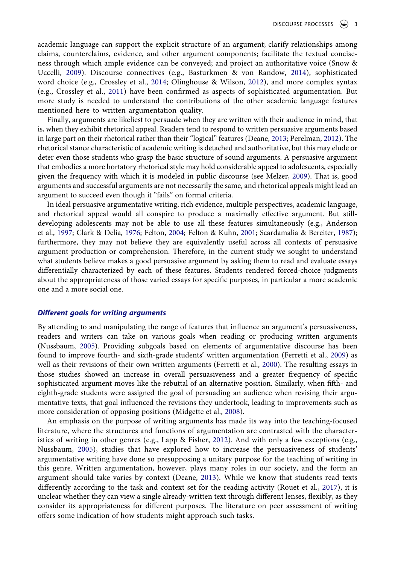<span id="page-3-3"></span><span id="page-3-1"></span>academic language can support the explicit structure of an argument; clarify relationships among claims, counterclaims, evidence, and other argument components; facilitate the textual conciseness through which ample evidence can be conveyed; and project an authoritative voice (Snow & Uccelli, [2009\)](#page-20-5). Discourse connectives (e.g., Basturkmen & von Randow, [2014\)](#page-18-2), sophisticated word choice (e.g., Crossley et al., [2014](#page-18-3); Olinghouse & Wilson, [2012](#page-20-6)), and more complex syntax (e.g., Crossley et al., [2011\)](#page-18-4) have been confirmed as aspects of sophisticated argumentation. But more study is needed to understand the contributions of the other academic language features mentioned here to written argumentation quality.

<span id="page-3-11"></span><span id="page-3-2"></span>Finally, arguments are likeliest to persuade when they are written with their audience in mind, that is, when they exhibit rhetorical appeal. Readers tend to respond to written persuasive arguments based in large part on their rhetorical rather than their "logical" features (Deane, [2013;](#page-19-13) Perelman, [2012](#page-20-7)). The rhetorical stance characteristic of academic writing is detached and authoritative, but this may elude or deter even those students who grasp the basic structure of sound arguments. A persuasive argument that embodies a more hortatory rhetorical style may hold considerable appeal to adolescents, especially given the frequency with which it is modeled in public discourse (see Melzer, [2009](#page-20-8)). That is, good arguments and successful arguments are not necessarily the same, and rhetorical appeals might lead an argument to succeed even though it "fails" on formal criteria.

<span id="page-3-8"></span><span id="page-3-0"></span>In ideal persuasive argumentative writing, rich evidence, multiple perspectives, academic language, and rhetorical appeal would all conspire to produce a maximally effective argument. But stilldeveloping adolescents may not be able to use all these features simultaneously (e.g., Anderson et al., [1997](#page-18-5); Clark & Delia, [1976;](#page-18-6) Felton, [2004](#page-19-1); Felton & Kuhn, [2001](#page-19-12); Scardamalia & Bereiter, [1987](#page-20-9)); furthermore, they may not believe they are equivalently useful across all contexts of persuasive argument production or comprehension. Therefore, in the current study we sought to understand what students believe makes a good persuasive argument by asking them to read and evaluate essays differentially characterized by each of these features. Students rendered forced-choice judgments about the appropriateness of those varied essays for specific purposes, in particular a more academic one and a more social one.

#### *Different goals for writing arguments*

<span id="page-3-6"></span><span id="page-3-5"></span>By attending to and manipulating the range of features that influence an argument's persuasiveness, readers and writers can take on various goals when reading or producing written arguments (Nussbaum, [2005\)](#page-20-10). Providing subgoals based on elements of argumentative discourse has been found to improve fourth- and sixth-grade students' written argumentation (Ferretti et al., [2009](#page-19-14)) as well as their revisions of their own written arguments (Ferretti et al., [2000\)](#page-19-15). The resulting essays in those studies showed an increase in overall persuasiveness and a greater frequency of specific sophisticated argument moves like the rebuttal of an alternative position. Similarly, when fifth- and eighth-grade students were assigned the goal of persuading an audience when revising their argumentative texts, that goal influenced the revisions they undertook, leading to improvements such as more consideration of opposing positions (Midgette et al., [2008](#page-20-11)).

<span id="page-3-12"></span><span id="page-3-10"></span><span id="page-3-9"></span><span id="page-3-7"></span><span id="page-3-4"></span>An emphasis on the purpose of writing arguments has made its way into the teaching-focused literature, where the structures and functions of argumentation are contrasted with the characteristics of writing in other genres (e.g., Lapp & Fisher, [2012\)](#page-20-12). And with only a few exceptions (e.g., Nussbaum, [2005\)](#page-20-10), studies that have explored how to increase the persuasiveness of students' argumentative writing have done so presupposing a unitary purpose for the teaching of writing in this genre. Written argumentation, however, plays many roles in our society, and the form an argument should take varies by context (Deane, [2013\)](#page-19-13). While we know that students read texts differently according to the task and context set for the reading activity (Rouet et al., [2017\)](#page-20-13), it is unclear whether they can view a single already-written text through different lenses, flexibly, as they consider its appropriateness for different purposes. The literature on peer assessment of writing offers some indication of how students might approach such tasks.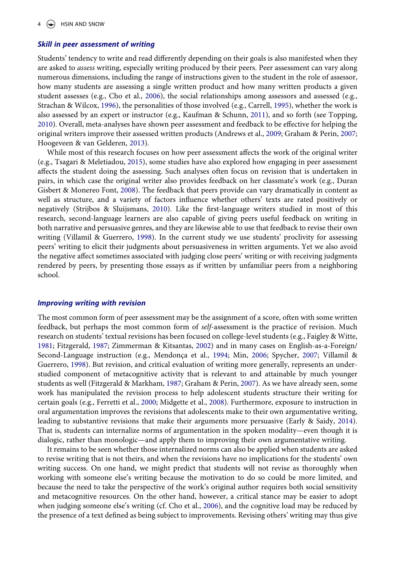#### *Skill in peer assessment of writing*

<span id="page-4-1"></span>Students' tendency to write and read differently depending on their goals is also manifested when they are asked to *assess* writing, especially writing produced by their peers. Peer assessment can vary along numerous dimensions, including the range of instructions given to the student in the role of assessor, how many students are assessing a single written product and how many written products a given student assesses (e.g., Cho et al., [2006\)](#page-18-7), the social relationships among assessors and assessed (e.g., Strachan & Wilcox, [1996\)](#page-20-14), the personalities of those involved (e.g., Carrell, [1995](#page-18-8)), whether the work is also assessed by an expert or instructor (e.g., Kaufman & Schunn, [2011\)](#page-19-16), and so forth (see Topping, [2010](#page-20-15)). Overall, meta-analyses have shown peer assessment and feedback to be effective for helping the original writers improve their assessed written products (Andrews et al., [2009;](#page-18-9) Graham & Perin, [2007;](#page-19-17) Hoogeveen & van Gelderen, [2013\)](#page-19-18).

<span id="page-4-12"></span><span id="page-4-11"></span><span id="page-4-9"></span><span id="page-4-8"></span><span id="page-4-3"></span><span id="page-4-0"></span>While most of this research focuses on how peer assessment affects the work of the original writer (e.g., Tsagari & Meletiadou, [2015\)](#page-21-3), some studies have also explored how engaging in peer assessment affects the student doing the assessing. Such analyses often focus on revision that is undertaken in pairs, in which case the original writer also provides feedback on her classmate's work (e.g., Duran Gisbert & Monereo Font, [2008\)](#page-19-19). The feedback that peers provide can vary dramatically in content as well as structure, and a variety of factors influence whether others' texts are rated positively or negatively (Strijbos & Sluijsmans, [2010\)](#page-20-16). Like the first-language writers studied in most of this research, second-language learners are also capable of giving peers useful feedback on writing in both narrative and persuasive genres, and they are likewise able to use that feedback to revise their own writing (Villamil & Guerrero, [1998\)](#page-21-4). In the current study we use students' proclivity for assessing peers' writing to elicit their judgments about persuasiveness in written arguments. Yet we also avoid the negative affect sometimes associated with judging close peers' writing or with receiving judgments rendered by peers, by presenting those essays as if written by unfamiliar peers from a neighboring school.

#### *Improving writing with revision*

<span id="page-4-13"></span><span id="page-4-10"></span><span id="page-4-7"></span><span id="page-4-6"></span><span id="page-4-5"></span>The most common form of peer assessment may be the assignment of a score, often with some written feedback, but perhaps the most common form of *self*-assessment is the practice of revision. Much research on students' textual revisions has been focused on college-level students (e.g., Faigley & Witte, [1981](#page-19-20); Fitzgerald, [1987](#page-19-21); Zimmerman & Kitsantas, [2002](#page-21-5)) and in many cases on English-as-a-Foreign/ Second-Language instruction (e.g., Mendonça et al., [1994;](#page-20-17) Min, [2006](#page-20-18); Spycher, [2007](#page-20-19); Villamil & Guerrero, [1998](#page-21-4)). But revision, and critical evaluation of writing more generally, represents an understudied component of metacognitive activity that is relevant to and attainable by much younger students as well (Fitzgerald & Markham, [1987](#page-19-22); Graham & Perin, [2007](#page-19-17)). As we have already seen, some work has manipulated the revision process to help adolescent students structure their writing for certain goals (e.g., Ferretti et al., [2000](#page-19-15); Midgette et al., [2008\)](#page-20-11). Furthermore, exposure to instruction in oral argumentation improves the revisions that adolescents make to their own argumentative writing, leading to substantive revisions that make their arguments more persuasive (Early & Saidy, [2014](#page-19-23)). That is, students can internalize norms of argumentation in the spoken modality—even though it is dialogic, rather than monologic—and apply them to improving their own argumentative writing.

<span id="page-4-4"></span><span id="page-4-2"></span>It remains to be seen whether those internalized norms can also be applied when students are asked to revise writing that is not theirs, and when the revisions have no implications for the students' own writing success. On one hand, we might predict that students will not revise as thoroughly when working with someone else's writing because the motivation to do so could be more limited, and because the need to take the perspective of the work's original author requires both social sensitivity and metacognitive resources. On the other hand, however, a critical stance may be easier to adopt when judging someone else's writing (cf. Cho et al., [2006](#page-18-7)), and the cognitive load may be reduced by the presence of a text defined as being subject to improvements. Revising others' writing may thus give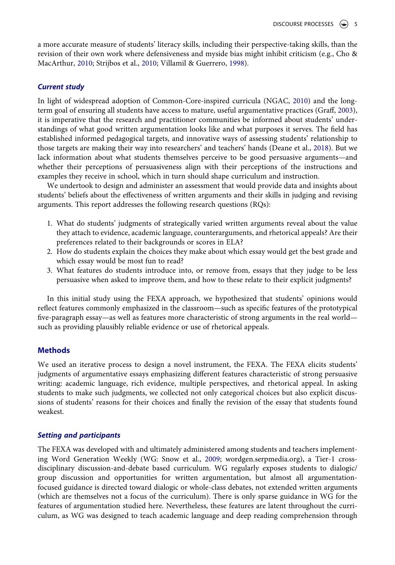<span id="page-5-0"></span>a more accurate measure of students' literacy skills, including their perspective-taking skills, than the revision of their own work where defensiveness and myside bias might inhibit criticism (e.g., Cho & MacArthur, [2010;](#page-18-10) Strijbos et al., [2010;](#page-20-20) Villamil & Guerrero, [1998\)](#page-21-4).

# *Current study*

<span id="page-5-2"></span>In light of widespread adoption of Common-Core-inspired curricula (NGAC, [2010\)](#page-20-0) and the longterm goal of ensuring all students have access to mature, useful argumentative practices (Graff, [2003](#page-19-24)), it is imperative that the research and practitioner communities be informed about students' understandings of what good written argumentation looks like and what purposes it serves. The field has established informed pedagogical targets, and innovative ways of assessing students' relationship to those targets are making their way into researchers' and teachers' hands (Deane et al., [2018](#page-19-25)). But we lack information about what students themselves perceive to be good persuasive arguments—and whether their perceptions of persuasiveness align with their perceptions of the instructions and examples they receive in school, which in turn should shape curriculum and instruction.

<span id="page-5-1"></span>We undertook to design and administer an assessment that would provide data and insights about students' beliefs about the effectiveness of written arguments and their skills in judging and revising arguments. This report addresses the following research questions (RQs):

- 1. What do students' judgments of strategically varied written arguments reveal about the value they attach to evidence, academic language, counterarguments, and rhetorical appeals? Are their preferences related to their backgrounds or scores in ELA?
- 2. How do students explain the choices they make about which essay would get the best grade and which essay would be most fun to read?
- 3. What features do students introduce into, or remove from, essays that they judge to be less persuasive when asked to improve them, and how to these relate to their explicit judgments?

In this initial study using the FEXA approach, we hypothesized that students' opinions would reflect features commonly emphasized in the classroom—such as specific features of the prototypical five-paragraph essay—as well as features more characteristic of strong arguments in the real world such as providing plausibly reliable evidence or use of rhetorical appeals.

### **Methods**

We used an iterative process to design a novel instrument, the FEXA. The FEXA elicits students' judgments of argumentative essays emphasizing different features characteristic of strong persuasive writing: academic language, rich evidence, multiple perspectives, and rhetorical appeal. In asking students to make such judgments, we collected not only categorical choices but also explicit discussions of students' reasons for their choices and finally the revision of the essay that students found weakest.

### *Setting and participants*

<span id="page-5-3"></span>The FEXA was developed with and ultimately administered among students and teachers implementing Word Generation Weekly (WG: Snow et al., [2009;](#page-20-21) wordgen.serpmedia.org), a Tier-1 crossdisciplinary discussion-and-debate based curriculum. WG regularly exposes students to dialogic/ group discussion and opportunities for written argumentation, but almost all argumentationfocused guidance is directed toward dialogic or whole-class debates, not extended written arguments (which are themselves not a focus of the curriculum). There is only sparse guidance in WG for the features of argumentation studied here. Nevertheless, these features are latent throughout the curriculum, as WG was designed to teach academic language and deep reading comprehension through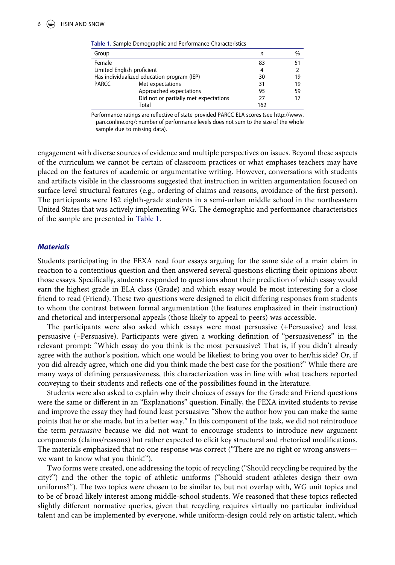| Group                                      |                                       | n   | $\frac{0}{0}$ |
|--------------------------------------------|---------------------------------------|-----|---------------|
| Female                                     |                                       | 83  | 51            |
| Limited English proficient                 |                                       | 4   |               |
| Has individualized education program (IEP) |                                       | 30  | 19            |
| PARCC                                      | Met expectations                      | 31  | 19            |
|                                            | Approached expectations               | 95  | 59            |
|                                            | Did not or partially met expectations | 27  | 17            |
|                                            | Total                                 | 162 |               |
|                                            |                                       |     |               |

<span id="page-6-0"></span>**Table 1.** Sample Demographic and Performance Characteristics

Performance ratings are reflective of state-provided PARCC-ELA scores (see http://www. parcconline.org/; number of performance levels does not sum to the size of the whole sample due to missing data).

engagement with diverse sources of evidence and multiple perspectives on issues. Beyond these aspects of the curriculum we cannot be certain of classroom practices or what emphases teachers may have placed on the features of academic or argumentative writing. However, conversations with students and artifacts visible in the classrooms suggested that instruction in written argumentation focused on surface-level structural features (e.g., ordering of claims and reasons, avoidance of the first person). The participants were 162 eighth-grade students in a semi-urban middle school in the northeastern United States that was actively implementing WG. The demographic and performance characteristics of the sample are presented in [Table 1](#page-6-0).

#### *Materials*

Students participating in the FEXA read four essays arguing for the same side of a main claim in reaction to a contentious question and then answered several questions eliciting their opinions about those essays. Specifically, students responded to questions about their prediction of which essay would earn the highest grade in ELA class (Grade) and which essay would be most interesting for a close friend to read (Friend). These two questions were designed to elicit differing responses from students to whom the contrast between formal argumentation (the features emphasized in their instruction) and rhetorical and interpersonal appeals (those likely to appeal to peers) was accessible.

The participants were also asked which essays were most persuasive (+Persuasive) and least persuasive (–Persuasive). Participants were given a working definition of "persuasiveness" in the relevant prompt: "Which essay do you think is the most persuasive? That is, if you didn't already agree with the author's position, which one would be likeliest to bring you over to her/his side? Or, if you did already agree, which one did you think made the best case for the position?" While there are many ways of defining persuasiveness, this characterization was in line with what teachers reported conveying to their students and reflects one of the possibilities found in the literature.

Students were also asked to explain why their choices of essays for the Grade and Friend questions were the same or different in an "Explanations" question. Finally, the FEXA invited students to revise and improve the essay they had found least persuasive: "Show the author how you can make the same points that he or she made, but in a better way." In this component of the task, we did not reintroduce the term *persuasive* because we did not want to encourage students to introduce new argument components (claims/reasons) but rather expected to elicit key structural and rhetorical modifications. The materials emphasized that no one response was correct ("There are no right or wrong answers we want to know what you think!").

Two forms were created, one addressing the topic of recycling ("Should recycling be required by the city?") and the other the topic of athletic uniforms ("Should student athletes design their own uniforms?"). The two topics were chosen to be similar to, but not overlap with, WG unit topics and to be of broad likely interest among middle-school students. We reasoned that these topics reflected slightly different normative queries, given that recycling requires virtually no particular individual talent and can be implemented by everyone, while uniform-design could rely on artistic talent, which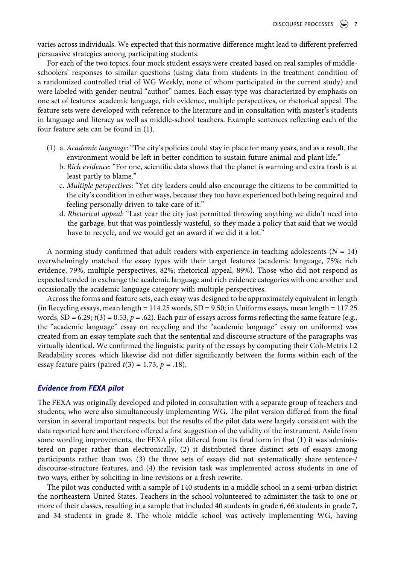varies across individuals. We expected that this normative difference might lead to different preferred persuasive strategies among participating students.

For each of the two topics, four mock student essays were created based on real samples of middleschoolers' responses to similar questions (using data from students in the treatment condition of a randomized controlled trial of WG Weekly, none of whom participated in the current study) and were labeled with gender-neutral "author" names. Each essay type was characterized by emphasis on one set of features: academic language, rich evidence, multiple perspectives, or rhetorical appeal. The feature sets were developed with reference to the literature and in consultation with master's students in language and literacy as well as middle-school teachers. Example sentences reflecting each of the four feature sets can be found in (1).

- (1) a. *Academic language*: "The city's policies could stay in place for many years, and as a result, the environment would be left in better condition to sustain future animal and plant life."
	- b. *Rich evidence*: "For one, scientific data shows that the planet is warming and extra trash is at least partly to blame."
	- c. *Multiple perspectives*: "Yet city leaders could also encourage the citizens to be committed to the city's condition in other ways, because they too have experienced both being required and feeling personally driven to take care of it."
	- d. *Rhetorical appeal*: "Last year the city just permitted throwing anything we didn't need into the garbage, but that was pointlessly wasteful, so they made a policy that said that we would have to recycle, and we would get an award if we did it a lot."

A norming study confirmed that adult readers with experience in teaching adolescents  $(N = 14)$ overwhelmingly matched the essay types with their target features (academic language, 75%; rich evidence, 79%; multiple perspectives, 82%; rhetorical appeal, 89%). Those who did not respond as expected tended to exchange the academic language and rich evidence categories with one another and occasionally the academic language category with multiple perspectives.

Across the forms and feature sets, each essay was designed to be approximately equivalent in length (in Recycling essays, mean length = 114.25 words, SD = 9.50; in Uniforms essays, mean length = 117.25 words,  $SD = 6.29$ ;  $t(3) = 0.53$ ,  $p = .62$ ). Each pair of essays across forms reflecting the same feature (e.g., the "academic language" essay on recycling and the "academic language" essay on uniforms) was created from an essay template such that the sentential and discourse structure of the paragraphs was virtually identical. We confirmed the linguistic parity of the essays by computing their Coh-Metrix L2 Readability scores, which likewise did not differ significantly between the forms within each of the essay feature pairs (paired  $t(3) = 1.73$ ,  $p = .18$ ).

### *Evidence from FEXA pilot*

The FEXA was originally developed and piloted in consultation with a separate group of teachers and students, who were also simultaneously implementing WG. The pilot version differed from the final version in several important respects, but the results of the pilot data were largely consistent with the data reported here and therefore offered a first suggestion of the validity of the instrument. Aside from some wording improvements, the FEXA pilot differed from its final form in that (1) it was administered on paper rather than electronically, (2) it distributed three distinct sets of essays among participants rather than two, (3) the three sets of essays did not systematically share sentence-/ discourse-structure features, and (4) the revision task was implemented across students in one of two ways, either by soliciting in-line revisions or a fresh rewrite.

The pilot was conducted with a sample of 140 students in a middle school in a semi-urban district the northeastern United States. Teachers in the school volunteered to administer the task to one or more of their classes, resulting in a sample that included 40 students in grade 6, 66 students in grade 7, and 34 students in grade 8. The whole middle school was actively implementing WG, having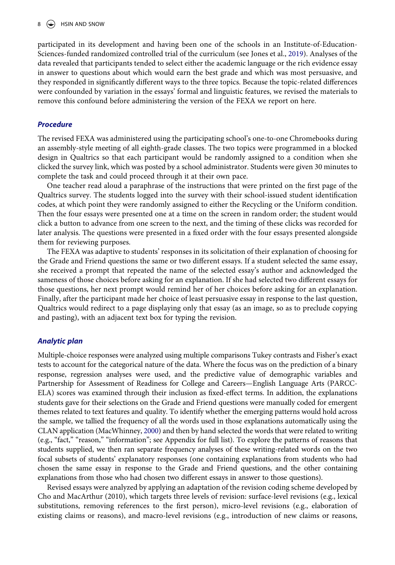<span id="page-8-0"></span>participated in its development and having been one of the schools in an Institute-of-Education-Sciences-funded randomized controlled trial of the curriculum (see Jones et al., [2019](#page-19-26)). Analyses of the data revealed that participants tended to select either the academic language or the rich evidence essay in answer to questions about which would earn the best grade and which was most persuasive, and they responded in significantly different ways to the three topics. Because the topic-related differences were confounded by variation in the essays' formal and linguistic features, we revised the materials to remove this confound before administering the version of the FEXA we report on here.

### *Procedure*

The revised FEXA was administered using the participating school's one-to-one Chromebooks during an assembly-style meeting of all eighth-grade classes. The two topics were programmed in a blocked design in Qualtrics so that each participant would be randomly assigned to a condition when she clicked the survey link, which was posted by a school administrator. Students were given 30 minutes to complete the task and could proceed through it at their own pace.

One teacher read aloud a paraphrase of the instructions that were printed on the first page of the Qualtrics survey. The students logged into the survey with their school-issued student identification codes, at which point they were randomly assigned to either the Recycling or the Uniform condition. Then the four essays were presented one at a time on the screen in random order; the student would click a button to advance from one screen to the next, and the timing of these clicks was recorded for later analysis. The questions were presented in a fixed order with the four essays presented alongside them for reviewing purposes.

The FEXA was adaptive to students' responses in its solicitation of their explanation of choosing for the Grade and Friend questions the same or two different essays. If a student selected the same essay, she received a prompt that repeated the name of the selected essay's author and acknowledged the sameness of those choices before asking for an explanation. If she had selected two different essays for those questions, her next prompt would remind her of her choices before asking for an explanation. Finally, after the participant made her choice of least persuasive essay in response to the last question, Qualtrics would redirect to a page displaying only that essay (as an image, so as to preclude copying and pasting), with an adjacent text box for typing the revision.

#### *Analytic plan*

Multiple-choice responses were analyzed using multiple comparisons Tukey contrasts and Fisher's exact tests to account for the categorical nature of the data. Where the focus was on the prediction of a binary response, regression analyses were used, and the predictive value of demographic variables and Partnership for Assessment of Readiness for College and Careers—English Language Arts (PARCC-ELA) scores was examined through their inclusion as fixed-effect terms. In addition, the explanations students gave for their selections on the Grade and Friend questions were manually coded for emergent themes related to text features and quality. To identify whether the emerging patterns would hold across the sample, we tallied the frequency of all the words used in those explanations automatically using the CLAN application (MacWhinney, [2000](#page-20-22)) and then by hand selected the words that were related to writing (e.g., "fact," "reason," "information"; see Appendix for full list). To explore the patterns of reasons that students supplied, we then ran separate frequency analyses of these writing-related words on the two focal subsets of students' explanatory responses (one containing explanations from students who had chosen the same essay in response to the Grade and Friend questions, and the other containing explanations from those who had chosen two different essays in answer to those questions).

<span id="page-8-1"></span>Revised essays were analyzed by applying an adaptation of the revision coding scheme developed by Cho and MacArthur (2010), which targets three levels of revision: surface-level revisions (e.g., lexical substitutions, removing references to the first person), micro-level revisions (e.g., elaboration of existing claims or reasons), and macro-level revisions (e.g., introduction of new claims or reasons,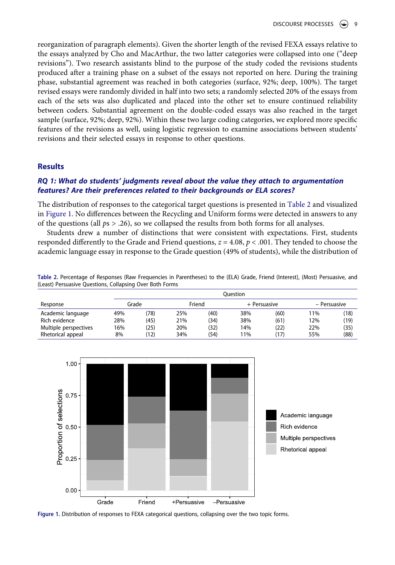reorganization of paragraph elements). Given the shorter length of the revised FEXA essays relative to the essays analyzed by Cho and MacArthur, the two latter categories were collapsed into one ("deep revisions"). Two research assistants blind to the purpose of the study coded the revisions students produced after a training phase on a subset of the essays not reported on here. During the training phase, substantial agreement was reached in both categories (surface, 92%; deep, 100%). The target revised essays were randomly divided in half into two sets; a randomly selected 20% of the essays from each of the sets was also duplicated and placed into the other set to ensure continued reliability between coders. Substantial agreement on the double-coded essays was also reached in the target sample (surface, 92%; deep, 92%). Within these two large coding categories, we explored more specific features of the revisions as well, using logistic regression to examine associations between students' revisions and their selected essays in response to other questions.

#### **Results**

# *RQ 1: What do students' judgments reveal about the value they attach to argumentation features? Are their preferences related to their backgrounds or ELA scores?*

The distribution of responses to the categorical target questions is presented in [Table 2](#page-9-0) and visualized in [Figure 1](#page-9-1). No differences between the Recycling and Uniform forms were detected in answers to any of the questions (all *p*s > .26), so we collapsed the results from both forms for all analyses.

Students drew a number of distinctions that were consistent with expectations. First, students responded differently to the Grade and Friend questions,  $z = 4.08$ ,  $p < .001$ . They tended to choose the academic language essay in response to the Grade question (49% of students), while the distribution of

<span id="page-9-0"></span>**Table 2.** Percentage of Responses (Raw Frequencies in Parentheses) to the (ELA) Grade, Friend (Interest), (Most) Persuasive, and (Least) Persuasive Questions, Collapsing Over Both Forms

|                       |     | Ouestion |                 |      |              |      |              |      |  |
|-----------------------|-----|----------|-----------------|------|--------------|------|--------------|------|--|
| Response              |     |          | Friend<br>Grade |      | + Persuasive |      | - Persuasive |      |  |
| Academic language     | 49% | (78)     | 25%             | (40) | 38%          | (60) | 11%          | (18) |  |
| Rich evidence         | 28% | (45)     | 21%             | (34) | 38%          | (61) | 12%          | (19) |  |
| Multiple perspectives | 16% | (25)     | 20%             | (32) | 14%          | (22) | 22%          | (35) |  |
| Rhetorical appeal     | 8%  | (12)     | 34%             | (54) | 11%          | (17) | 55%          | (88) |  |

<span id="page-9-1"></span>

Figure 1. Distribution of responses to FEXA categorical questions, collapsing over the two topic forms.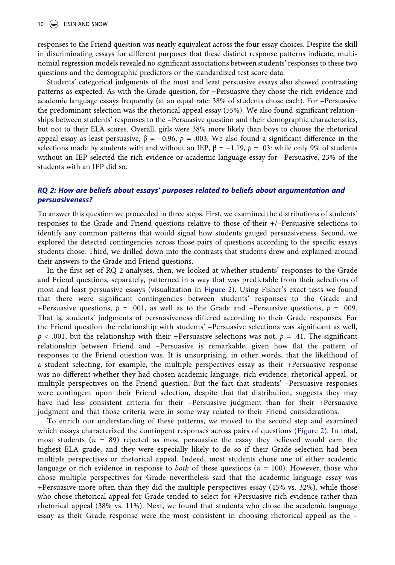responses to the Friend question was nearly equivalent across the four essay choices. Despite the skill in discriminating essays for different purposes that these distinct response patterns indicate, multinomial regression models revealed no significant associations between students' responses to these two questions and the demographic predictors or the standardized test score data.

Students' categorical judgments of the most and least persuasive essays also showed contrasting patterns as expected. As with the Grade question, for +Persuasive they chose the rich evidence and academic language essays frequently (at an equal rate: 38% of students chose each). For –Persuasive the predominant selection was the rhetorical appeal essay (55%). We also found significant relationships between students' responses to the –Persuasive question and their demographic characteristics, but not to their ELA scores. Overall, girls were 38% more likely than boys to choose the rhetorical appeal essay as least persuasive,  $β = -0.96$ ,  $p = .003$ . We also found a significant difference in the selections made by students with and without an IEP,  $β = -1.19$ ,  $p = .03$ : while only 9% of students without an IEP selected the rich evidence or academic language essay for –Persuasive, 23% of the students with an IEP did so.

# *RQ 2: How are beliefs about essays' purposes related to beliefs about argumentation and persuasiveness?*

To answer this question we proceeded in three steps. First, we examined the distributions of students' responses to the Grade and Friend questions relative to those of their +/–Persuasive selections to identify any common patterns that would signal how students gauged persuasiveness. Second, we explored the detected contingencies across those pairs of questions according to the specific essays students chose. Third, we drilled down into the contrasts that students drew and explained around their answers to the Grade and Friend questions.

In the first set of RQ 2 analyses, then, we looked at whether students' responses to the Grade and Friend questions, separately, patterned in a way that was predictable from their selections of most and least persuasive essays (visualization in [Figure 2\)](#page-11-0). Using Fisher's exact tests we found that there were significant contingencies between students' responses to the Grade and +Persuasive questions,  $p = .001$ , as well as to the Grade and -Persuasive questions,  $p = .009$ . That is, students' judgments of persuasiveness differed according to their Grade responses. For the Friend question the relationship with students' –Persuasive selections was significant as well,  $p < .001$ , but the relationship with their +Persuasive selections was not,  $p = .41$ . The significant relationship between Friend and –Persuasive is remarkable, given how flat the pattern of responses to the Friend question was. It is unsurprising, in other words, that the likelihood of a student selecting, for example, the multiple perspectives essay as their +Persuasive response was no different whether they had chosen academic language, rich evidence, rhetorical appeal, or multiple perspectives on the Friend question. But the fact that students' –Persuasive responses were contingent upon their Friend selection, despite that flat distribution, suggests they may have had less consistent criteria for their –Persuasive judgment than for their +Persuasive judgment and that those criteria were in some way related to their Friend considerations.

To enrich our understanding of these patterns, we moved to the second step and examined which essays characterized the contingent responses across pairs of questions ([Figure 2\)](#page-11-0). In total, most students (*n* = 89) rejected as most persuasive the essay they believed would earn the highest ELA grade, and they were especially likely to do so if their Grade selection had been multiple perspectives or rhetorical appeal. Indeed, most students chose one of either academic language or rich evidence in response to *both* of these questions (*n* = 100). However, those who chose multiple perspectives for Grade nevertheless said that the academic language essay was +Persuasive more often than they did the multiple perspectives essay (45% vs. 32%), while those who chose rhetorical appeal for Grade tended to select for +Persuasive rich evidence rather than rhetorical appeal (38% vs. 11%). Next, we found that students who chose the academic language essay as their Grade response were the most consistent in choosing rhetorical appeal as the –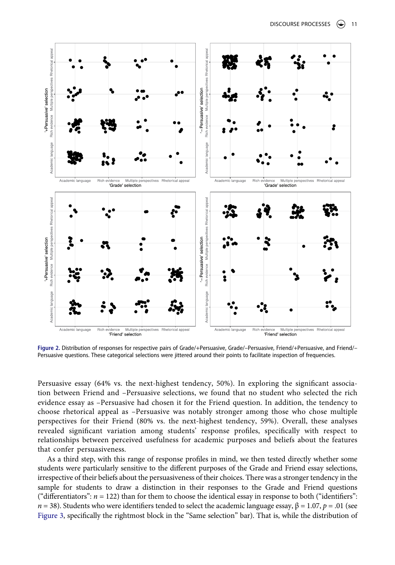<span id="page-11-0"></span>

**Figure 2.** Distribution of responses for respective pairs of Grade/+Persuasive, Grade/–Persuasive, Friend/+Persuasive, and Friend/– Persuasive questions. These categorical selections were jittered around their points to facilitate inspection of frequencies.

Persuasive essay (64% vs. the next-highest tendency, 50%). In exploring the significant association between Friend and –Persuasive selections, we found that no student who selected the rich evidence essay as –Persuasive had chosen it for the Friend question. In addition, the tendency to choose rhetorical appeal as –Persuasive was notably stronger among those who chose multiple perspectives for their Friend (80% vs. the next-highest tendency, 59%). Overall, these analyses revealed significant variation among students' response profiles, specifically with respect to relationships between perceived usefulness for academic purposes and beliefs about the features that confer persuasiveness.

As a third step, with this range of response profiles in mind, we then tested directly whether some students were particularly sensitive to the different purposes of the Grade and Friend essay selections, irrespective of their beliefs about the persuasiveness of their choices. There was a stronger tendency in the sample for students to draw a distinction in their responses to the Grade and Friend questions ("differentiators":  $n = 122$ ) than for them to choose the identical essay in response to both ("identifiers": *n* = 38). Students who were identifiers tended to select the academic language essay,  $\beta$  = 1.07, *p* = .01 (see [Figure 3,](#page-12-0) specifically the rightmost block in the "Same selection" bar). That is, while the distribution of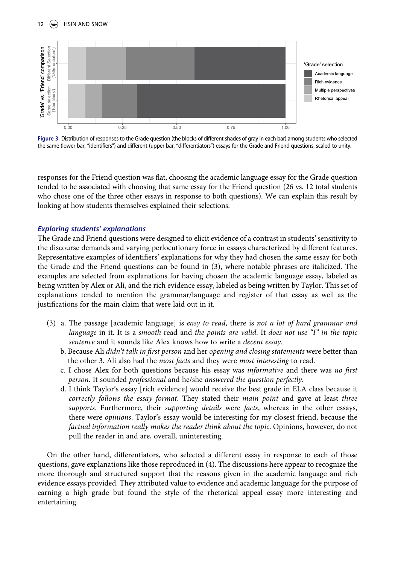# 12  $\left(\bigcirc\right)$  HSIN AND SNOW

<span id="page-12-0"></span>

**Figure 3.** Distribution of responses to the Grade question (the blocks of different shades of gray in each bar) among students who selected the same (lower bar, "identifiers") and different (upper bar, "differentiators") essays for the Grade and Friend questions, scaled to unity.

responses for the Friend question was flat, choosing the academic language essay for the Grade question tended to be associated with choosing that same essay for the Friend question (26 vs. 12 total students who chose one of the three other essays in response to both questions). We can explain this result by looking at how students themselves explained their selections.

### *Exploring students' explanations*

The Grade and Friend questions were designed to elicit evidence of a contrast in students' sensitivity to the discourse demands and varying perlocutionary force in essays characterized by different features. Representative examples of identifiers' explanations for why they had chosen the same essay for both the Grade and the Friend questions can be found in (3), where notable phrases are italicized. The examples are selected from explanations for having chosen the academic language essay, labeled as being written by Alex or Ali, and the rich evidence essay, labeled as being written by Taylor. This set of explanations tended to mention the grammar/language and register of that essay as well as the justifications for the main claim that were laid out in it.

- (3) a. The passage [academic language] is *easy to read*, there is *not a lot of hard grammar and language* in it. It is a *smooth* read and *the points are valid*. It *does not use "I" in the topic sentence* and it sounds like Alex knows how to write a *decent essay*.
	- b. Because Ali *didn't talk in first person* and her *opening and closing statements* were better than the other 3. Ali also had the *most facts* and they were *most interesting* to read.
	- c. I chose Alex for both questions because his essay was *informative* and there was *no first person*. It sounded *professional* and he/she *answered the question perfectly*.
	- d. I think Taylor's essay [rich evidence] would receive the best grade in ELA class because it *correctly follows the essay format*. They stated their *main point* and gave at least *three supports*. Furthermore, their *supporting details* were *facts*, whereas in the other essays, there were *opinions*. Taylor's essay would be interesting for my closest friend, because the *factual information really makes the reader think about the topic*. Opinions, however, do not pull the reader in and are, overall, uninteresting.

On the other hand, differentiators, who selected a different essay in response to each of those questions, gave explanations like those reproduced in (4). The discussions here appear to recognize the more thorough and structured support that the reasons given in the academic language and rich evidence essays provided. They attributed value to evidence and academic language for the purpose of earning a high grade but found the style of the rhetorical appeal essay more interesting and entertaining.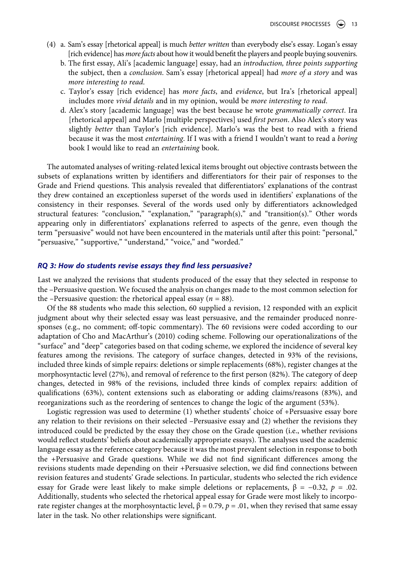- (4) a. Sam's essay [rhetorical appeal] is much *better written* than everybody else's essay. Logan's essay [rich evidence] has *more facts* about how it would benefit the players and people buying souvenirs.
	- b. The first essay, Ali's [academic language] essay, had an *introduction, three points supporting*  the subject, then a *conclusion*. Sam's essay [rhetorical appeal] had *more of a story* and was *more interesting to read*.
	- c. Taylor's essay [rich evidence] has *more facts*, and *evidence*, but Ira's [rhetorical appeal] includes more *vivid details* and in my opinion, would be *more interesting to read*.
	- d. Alex's story [academic language] was the best because he wrote *grammatically correct*. Ira [rhetorical appeal] and Marlo [multiple perspectives] used *first person*. Also Alex's story was slightly *better* than Taylor's [rich evidence]. Marlo's was the best to read with a friend because it was the most *entertaining*. If I was with a friend I wouldn't want to read a *boring*  book I would like to read an *entertaining* book.

The automated analyses of writing-related lexical items brought out objective contrasts between the subsets of explanations written by identifiers and differentiators for their pair of responses to the Grade and Friend questions. This analysis revealed that differentiators' explanations of the contrast they drew contained an exceptionless superset of the words used in identifiers' explanations of the consistency in their responses. Several of the words used only by differentiators acknowledged structural features: "conclusion," "explanation," "paragraph(s)," and "transition(s)." Other words appearing only in differentiators' explanations referred to aspects of the genre, even though the term "persuasive" would not have been encountered in the materials until after this point: "personal," "persuasive," "supportive," "understand," "voice," and "worded."

## *RQ 3: How do students revise essays they find less persuasive?*

Last we analyzed the revisions that students produced of the essay that they selected in response to the –Persuasive question. We focused the analysis on changes made to the most common selection for the –Persuasive question: the rhetorical appeal essay ( $n = 88$ ).

Of the 88 students who made this selection, 60 supplied a revision, 12 responded with an explicit judgment about why their selected essay was least persuasive, and the remainder produced nonresponses (e.g., no comment; off-topic commentary). The 60 revisions were coded according to our adaptation of Cho and MacArthur's (2010) coding scheme. Following our operationalizations of the "surface" and "deep" categories based on that coding scheme, we explored the incidence of several key features among the revisions. The category of surface changes, detected in 93% of the revisions, included three kinds of simple repairs: deletions or simple replacements (68%), register changes at the morphosyntactic level (27%), and removal of reference to the first person (82%). The category of deep changes, detected in 98% of the revisions, included three kinds of complex repairs: addition of qualifications (63%), content extensions such as elaborating or adding claims/reasons (83%), and reorganizations such as the reordering of sentences to change the logic of the argument (53%).

Logistic regression was used to determine (1) whether students' choice of +Persuasive essay bore any relation to their revisions on their selected –Persuasive essay and (2) whether the revisions they introduced could be predicted by the essay they chose on the Grade question (i.e., whether revisions would reflect students' beliefs about academically appropriate essays). The analyses used the academic language essay as the reference category because it was the most prevalent selection in response to both the +Persuasive and Grade questions. While we did not find significant differences among the revisions students made depending on their +Persuasive selection, we did find connections between revision features and students' Grade selections. In particular, students who selected the rich evidence essay for Grade were least likely to make simple deletions or replacements, β = −0.32, *p* = .02. Additionally, students who selected the rhetorical appeal essay for Grade were most likely to incorporate register changes at the morphosyntactic level,  $β = 0.79$ ,  $p = .01$ , when they revised that same essay later in the task. No other relationships were significant.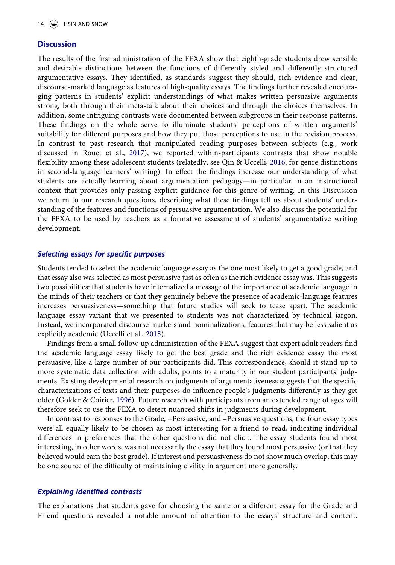#### **Discussion**

The results of the first administration of the FEXA show that eighth-grade students drew sensible and desirable distinctions between the functions of differently styled and differently structured argumentative essays. They identified, as standards suggest they should, rich evidence and clear, discourse-marked language as features of high-quality essays. The findings further revealed encouraging patterns in students' explicit understandings of what makes written persuasive arguments strong, both through their meta-talk about their choices and through the choices themselves. In addition, some intriguing contrasts were documented between subgroups in their response patterns. These findings on the whole serve to illuminate students' perceptions of written arguments' suitability for different purposes and how they put those perceptions to use in the revision process. In contrast to past research that manipulated reading purposes between subjects (e.g., work discussed in Rouet et al., [2017](#page-20-13)), we reported within-participants contrasts that show notable flexibility among these adolescent students (relatedly, see Qin & Uccelli, [2016,](#page-20-23) for genre distinctions in second-language learners' writing). In effect the findings increase our understanding of what students are actually learning about argumentation pedagogy—in particular in an instructional context that provides only passing explicit guidance for this genre of writing. In this Discussion we return to our research questions, describing what these findings tell us about students' understanding of the features and functions of persuasive argumentation. We also discuss the potential for the FEXA to be used by teachers as a formative assessment of students' argumentative writing development.

## <span id="page-14-1"></span>*Selecting essays for specific purposes*

Students tended to select the academic language essay as the one most likely to get a good grade, and that essay also was selected as most persuasive just as often as the rich evidence essay was. This suggests two possibilities: that students have internalized a message of the importance of academic language in the minds of their teachers or that they genuinely believe the presence of academic-language features increases persuasiveness—something that future studies will seek to tease apart. The academic language essay variant that we presented to students was not characterized by technical jargon. Instead, we incorporated discourse markers and nominalizations, features that may be less salient as explicitly academic (Uccelli et al., [2015](#page-21-2)).

Findings from a small follow-up administration of the FEXA suggest that expert adult readers find the academic language essay likely to get the best grade and the rich evidence essay the most persuasive, like a large number of our participants did. This correspondence, should it stand up to more systematic data collection with adults, points to a maturity in our student participants' judgments. Existing developmental research on judgments of argumentativeness suggests that the specific characterizations of texts and their purposes do influence people's judgments differently as they get older (Golder & Coirier, [1996\)](#page-19-27). Future research with participants from an extended range of ages will therefore seek to use the FEXA to detect nuanced shifts in judgments during development.

<span id="page-14-0"></span>In contrast to responses to the Grade, +Persuasive, and –Persuasive questions, the four essay types were all equally likely to be chosen as most interesting for a friend to read, indicating individual differences in preferences that the other questions did not elicit. The essay students found most interesting, in other words, was not necessarily the essay that they found most persuasive (or that they believed would earn the best grade). If interest and persuasiveness do not show much overlap, this may be one source of the difficulty of maintaining civility in argument more generally.

#### *Explaining identified contrasts*

The explanations that students gave for choosing the same or a different essay for the Grade and Friend questions revealed a notable amount of attention to the essays' structure and content.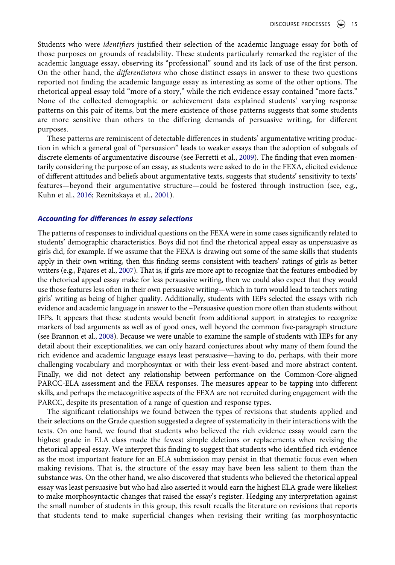Students who were *identifiers* justified their selection of the academic language essay for both of those purposes on grounds of readability. These students particularly remarked the register of the academic language essay, observing its "professional" sound and its lack of use of the first person. On the other hand, the *differentiators* who chose distinct essays in answer to these two questions reported not finding the academic language essay as interesting as some of the other options. The rhetorical appeal essay told "more of a story," while the rich evidence essay contained "more facts." None of the collected demographic or achievement data explained students' varying response patterns on this pair of items, but the mere existence of those patterns suggests that some students are more sensitive than others to the differing demands of persuasive writing, for different purposes.

These patterns are reminiscent of detectable differences in students' argumentative writing production in which a general goal of "persuasion" leads to weaker essays than the adoption of subgoals of discrete elements of argumentative discourse (see Ferretti et al., [2009](#page-19-14)). The finding that even momentarily considering the purpose of an essay, as students were asked to do in the FEXA, elicited evidence of different attitudes and beliefs about argumentative texts, suggests that students' sensitivity to texts' features—beyond their argumentative structure—could be fostered through instruction (see, e.g., Kuhn et al., [2016](#page-19-2); Reznitskaya et al., [2001\)](#page-20-24).

#### <span id="page-15-2"></span>*Accounting for differences in essay selections*

<span id="page-15-1"></span>The patterns of responses to individual questions on the FEXA were in some cases significantly related to students' demographic characteristics. Boys did not find the rhetorical appeal essay as unpersuasive as girls did, for example. If we assume that the FEXA is drawing out some of the same skills that students apply in their own writing, then this finding seems consistent with teachers' ratings of girls as better writers (e.g., Pajares et al., [2007](#page-20-25)). That is, if girls are more apt to recognize that the features embodied by the rhetorical appeal essay make for less persuasive writing, then we could also expect that they would use those features less often in their own persuasive writing—which in turn would lead to teachers rating girls' writing as being of higher quality. Additionally, students with IEPs selected the essays with rich evidence and academic language in answer to the –Persuasive question more often than students without IEPs. It appears that these students would benefit from additional support in strategies to recognize markers of bad arguments as well as of good ones, well beyond the common five-paragraph structure (see Brannon et al., [2008\)](#page-18-11). Because we were unable to examine the sample of students with IEPs for any detail about their exceptionalities, we can only hazard conjectures about why many of them found the rich evidence and academic language essays least persuasive—having to do, perhaps, with their more challenging vocabulary and morphosyntax or with their less event-based and more abstract content. Finally, we did not detect any relationship between performance on the Common-Core-aligned PARCC-ELA assessment and the FEXA responses. The measures appear to be tapping into different skills, and perhaps the metacognitive aspects of the FEXA are not recruited during engagement with the PARCC, despite its presentation of a range of question and response types.

<span id="page-15-0"></span>The significant relationships we found between the types of revisions that students applied and their selections on the Grade question suggested a degree of systematicity in their interactions with the texts. On one hand, we found that students who believed the rich evidence essay would earn the highest grade in ELA class made the fewest simple deletions or replacements when revising the rhetorical appeal essay. We interpret this finding to suggest that students who identified rich evidence as the most important feature for an ELA submission may persist in that thematic focus even when making revisions. That is, the structure of the essay may have been less salient to them than the substance was. On the other hand, we also discovered that students who believed the rhetorical appeal essay was least persuasive but who had also asserted it would earn the highest ELA grade were likeliest to make morphosyntactic changes that raised the essay's register. Hedging any interpretation against the small number of students in this group, this result recalls the literature on revisions that reports that students tend to make superficial changes when revising their writing (as morphosyntactic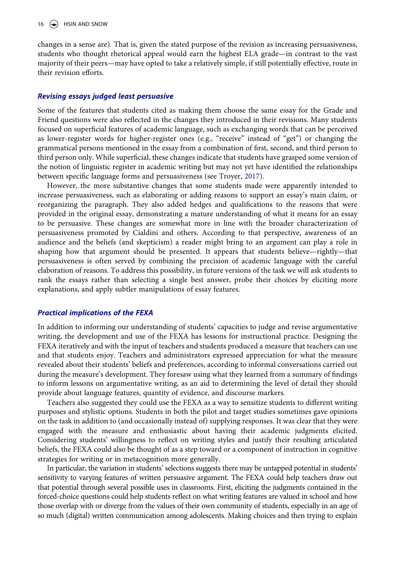changes in a sense are). That is, given the stated purpose of the revision as increasing persuasiveness, students who thought rhetorical appeal would earn the highest ELA grade—in contrast to the vast majority of their peers—may have opted to take a relatively simple, if still potentially effective, route in their revision efforts.

## *Revising essays judged least persuasive*

Some of the features that students cited as making them choose the same essay for the Grade and Friend questions were also reflected in the changes they introduced in their revisions. Many students focused on superficial features of academic language, such as exchanging words that can be perceived as lower-register words for higher-register ones (e.g., "receive" instead of "get") or changing the grammatical persons mentioned in the essay from a combination of first, second, and third person to third person only. While superficial, these changes indicate that students have grasped some version of the notion of linguistic register in academic writing but may not yet have identified the relationships between specific language forms and persuasiveness (see Troyer, [2017](#page-20-26)).

<span id="page-16-0"></span>However, the more substantive changes that some students made were apparently intended to increase persuasiveness, such as elaborating or adding reasons to support an essay's main claim, or reorganizing the paragraph. They also added hedges and qualifications to the reasons that were provided in the original essay, demonstrating a mature understanding of what it means for an essay to be persuasive. These changes are somewhat more in line with the broader characterization of persuasiveness promoted by Cialdini and others. According to that perspective, awareness of an audience and the beliefs (and skepticism) a reader might bring to an argument can play a role in shaping how that argument should be presented. It appears that students believe—rightly—that persuasiveness is often served by combining the precision of academic language with the careful elaboration of reasons. To address this possibility, in future versions of the task we will ask students to rank the essays rather than selecting a single best answer, probe their choices by eliciting more explanations, and apply subtler manipulations of essay features.

### *Practical implications of the FEXA*

In addition to informing our understanding of students' capacities to judge and revise argumentative writing, the development and use of the FEXA has lessons for instructional practice. Designing the FEXA iteratively and with the input of teachers and students produced a measure that teachers can use and that students enjoy. Teachers and administrators expressed appreciation for what the measure revealed about their students' beliefs and preferences, according to informal conversations carried out during the measure's development. They foresaw using what they learned from a summary of findings to inform lessons on argumentative writing, as an aid to determining the level of detail they should provide about language features, quantity of evidence, and discourse markers.

Teachers also suggested they could use the FEXA as a way to sensitize students to different writing purposes and stylistic options. Students in both the pilot and target studies sometimes gave opinions on the task in addition to (and occasionally instead of) supplying responses. It was clear that they were engaged with the measure and enthusiastic about having their academic judgments elicited. Considering students' willingness to reflect on writing styles and justify their resulting articulated beliefs, the FEXA could also be thought of as a step toward or a component of instruction in cognitive strategies for writing or in metacognition more generally.

In particular, the variation in students' selections suggests there may be untapped potential in students' sensitivity to varying features of written persuasive argument. The FEXA could help teachers draw out that potential through several possible uses in classrooms. First, eliciting the judgments contained in the forced-choice questions could help students reflect on what writing features are valued in school and how those overlap with or diverge from the values of their own community of students, especially in an age of so much (digital) written communication among adolescents. Making choices and then trying to explain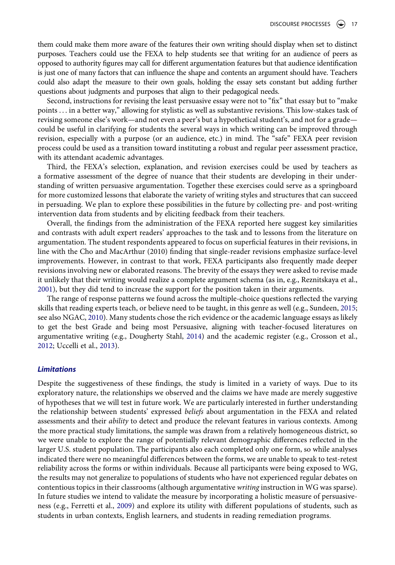them could make them more aware of the features their own writing should display when set to distinct purposes. Teachers could use the FEXA to help students see that writing for an audience of peers as opposed to authority figures may call for different argumentation features but that audience identification is just one of many factors that can influence the shape and contents an argument should have. Teachers could also adapt the measure to their own goals, holding the essay sets constant but adding further questions about judgments and purposes that align to their pedagogical needs.

Second, instructions for revising the least persuasive essay were not to "fix" that essay but to "make points . . . in a better way," allowing for stylistic as well as substantive revisions. This low-stakes task of revising someone else's work—and not even a peer's but a hypothetical student's, and not for a grade could be useful in clarifying for students the several ways in which writing can be improved through revision, especially with a purpose (or an audience, etc.) in mind. The "safe" FEXA peer revision process could be used as a transition toward instituting a robust and regular peer assessment practice, with its attendant academic advantages.

Third, the FEXA's selection, explanation, and revision exercises could be used by teachers as a formative assessment of the degree of nuance that their students are developing in their understanding of written persuasive argumentation. Together these exercises could serve as a springboard for more customized lessons that elaborate the variety of writing styles and structures that can succeed in persuading. We plan to explore these possibilities in the future by collecting pre- and post-writing intervention data from students and by eliciting feedback from their teachers.

Overall, the findings from the administration of the FEXA reported here suggest key similarities and contrasts with adult expert readers' approaches to the task and to lessons from the literature on argumentation. The student respondents appeared to focus on superficial features in their revisions, in line with the Cho and MacArthur (2010) finding that single-reader revisions emphasize surface-level improvements. However, in contrast to that work, FEXA participants also frequently made deeper revisions involving new or elaborated reasons. The brevity of the essays they were asked to revise made it unlikely that their writing would realize a complete argument schema (as in, e.g., Reznitskaya et al., [2001](#page-20-24)), but they did tend to increase the support for the position taken in their arguments.

<span id="page-17-1"></span><span id="page-17-0"></span>The range of response patterns we found across the multiple-choice questions reflected the varying skills that reading experts teach, or believe need to be taught, in this genre as well (e.g., Sundeen, [2015;](#page-20-27) see also NGAC, [2010\)](#page-20-0). Many students chose the rich evidence or the academic language essays as likely to get the best Grade and being most Persuasive, aligning with teacher-focused literatures on argumentative writing (e.g., Dougherty Stahl, [2014](#page-19-28)) and the academic register (e.g., Crosson et al., [2012](#page-18-12); Uccelli et al., [2013](#page-21-6)).

#### <span id="page-17-2"></span>*Limitations*

Despite the suggestiveness of these findings, the study is limited in a variety of ways. Due to its exploratory nature, the relationships we observed and the claims we have made are merely suggestive of hypotheses that we will test in future work. We are particularly interested in further understanding the relationship between students' expressed *beliefs* about argumentation in the FEXA and related assessments and their *ability* to detect and produce the relevant features in various contexts. Among the more practical study limitations, the sample was drawn from a relatively homogeneous district, so we were unable to explore the range of potentially relevant demographic differences reflected in the larger U.S. student population. The participants also each completed only one form, so while analyses indicated there were no meaningful differences between the forms, we are unable to speak to test-retest reliability across the forms or within individuals. Because all participants were being exposed to WG, the results may not generalize to populations of students who have not experienced regular debates on contentious topics in their classrooms (although argumentative *writing* instruction in WG was sparse). In future studies we intend to validate the measure by incorporating a holistic measure of persuasiveness (e.g., Ferretti et al., [2009](#page-19-14)) and explore its utility with different populations of students, such as students in urban contexts, English learners, and students in reading remediation programs.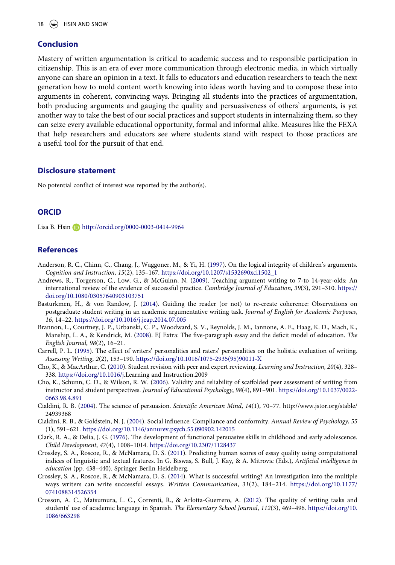# **Conclusion**

Mastery of written argumentation is critical to academic success and to responsible participation in citizenship. This is an era of ever more communication through electronic media, in which virtually anyone can share an opinion in a text. It falls to educators and education researchers to teach the next generation how to mold content worth knowing into ideas worth having and to compose these into arguments in coherent, convincing ways. Bringing all students into the practices of argumentation, both producing arguments and gauging the quality and persuasiveness of others' arguments, is yet another way to take the best of our social practices and support students in internalizing them, so they can seize every available educational opportunity, formal and informal alike. Measures like the FEXA that help researchers and educators see where students stand with respect to those practices are a useful tool for the pursuit of that end.

### **Disclosure statement**

No potential conflict of interest was reported by the author(s).

# **ORCID**

Lisa B. Hsin **b** http://orcid.org/0000-0003-0414-9964

# **References**

- <span id="page-18-5"></span>Anderson, R. C., Chinn, C., Chang, J., Waggoner, M., & Yi, H. ([1997](#page-3-0)). On the logical integrity of children's arguments. *Cognition and Instruction*, *15*(2), 135–167. [https://doi.org/10.1207/s1532690xci1502\\_1](https://doi.org/10.1207/s1532690xci1502_1)
- <span id="page-18-9"></span>Andrews, R., Torgerson, C., Low, G., & McGuinn, N. ([2009](#page-4-0)). Teaching argument writing to 7-to 14-year-olds: An international review of the evidence of successful practice. *Cambridge Journal of Education*, *39*(3), 291–310. [https://](https://doi.org/10.1080/03057640903103751) [doi.org/10.1080/03057640903103751](https://doi.org/10.1080/03057640903103751)
- <span id="page-18-2"></span>Basturkmen, H., & von Randow, J. [\(2014](#page-3-1)). Guiding the reader (or not) to re-create coherence: Observations on postgraduate student writing in an academic argumentative writing task. *Journal of English for Academic Purposes*, *16*, 14–22.<https://doi.org/10.1016/j.jeap.2014.07.005>
- <span id="page-18-11"></span>Brannon, L., Courtney, J. P., Urbanski, C. P., Woodward, S. V., Reynolds, J. M., Iannone, A. E., Haag, K. D., Mach, K., Manship, L. A., & Kendrick, M. ([2008](#page-15-0)). EJ Extra: The five-paragraph essay and the deficit model of education. *The English Journal*, *98*(2), 16–21.
- <span id="page-18-8"></span>Carrell, P. L. [\(1995](#page-4-1)). The effect of writers' personalities and raters' personalities on the holistic evaluation of writing. *Assessing Writing*, *2*(2), 153–190. [https://doi.org/10.1016/1075-2935\(95\)90011-X](https://doi.org/10.1016/1075-2935(95)90011-X)
- <span id="page-18-10"></span>Cho, K., & MacArthur, C. [\(2010\)](#page-5-0). Student revision with peer and expert reviewing. *Learning and Instruction, 20*(4), 328– 338. <https://doi.org/10.1016/j>.Learning and Instruction.2009
- <span id="page-18-7"></span>Cho, K., Schunn, C. D., & Wilson, R. W. [\(2006](#page-4-2)). Validity and reliability of scaffolded peer assessment of writing from instructor and student perspectives. *Journal of Educational Psychology*, *98*(4), 891–901. [https://doi.org/10.1037/0022-](https://doi.org/10.1037/0022-0663.98.4.891)  [0663.98.4.891](https://doi.org/10.1037/0022-0663.98.4.891)
- <span id="page-18-0"></span>Cialdini, R. B. ([2004\)](#page-2-0). The science of persuasion. *Scientific American Mind*, *14*(1), 70–77. http://www.jstor.org/stable/ 24939368
- <span id="page-18-1"></span>Cialdini, R. B., & Goldstein, N. J. ([2004](#page-2-0)). Social influence: Compliance and conformity. *Annual Review of Psychology*, *55*  (1), 591–621. <https://doi.org/10.1146/annurev.psych.55.090902.142015>
- <span id="page-18-6"></span>Clark, R. A., & Delia, J. G. ([1976\)](#page-3-0). The development of functional persuasive skills in childhood and early adolescence. *Child Development*, *47*(4), 1008–1014. <https://doi.org/10.2307/1128437>
- <span id="page-18-4"></span>Crossley, S. A., Roscoe, R., & McNamara, D. S. [\(2011](#page-3-2)). Predicting human scores of essay quality using computational indices of linguistic and textual features. In G. Biswas, S. Bull, J. Kay, & A. Mitrovic (Eds.), *Artificial intelligence in education* (pp. 438–440). Springer Berlin Heidelberg.
- <span id="page-18-3"></span>Crossley, S. A., Roscoe, R., & McNamara, D. S. [\(2014\)](#page-3-3). What is successful writing? An investigation into the multiple ways writers can write successful essays. *Written Communication*, *31*(2), 184–214. [https://doi.org/10.1177/](https://doi.org/10.1177/0741088314526354) [0741088314526354](https://doi.org/10.1177/0741088314526354)
- <span id="page-18-12"></span>Crosson, A. C., Matsumura, L. C., Correnti, R., & Arlotta-Guerrero, A. ([2012](#page-17-0)). The quality of writing tasks and students' use of academic language in Spanish. *The Elementary School Journal*, *112*(3), 469–496. [https://doi.org/10.](https://doi.org/10.1086/663298) [1086/663298](https://doi.org/10.1086/663298)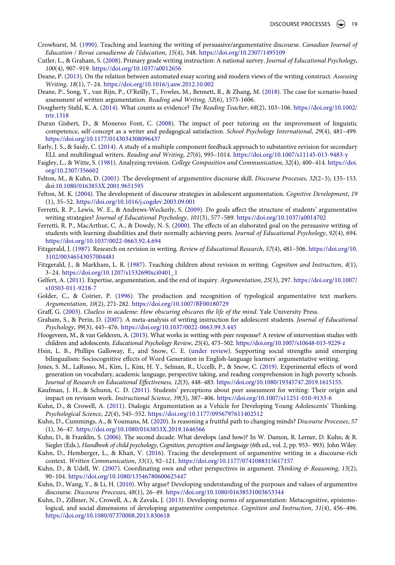- <span id="page-19-6"></span>Crowhurst, M. [\(1990\)](#page-2-1). Teaching and learning the writing of persuasive/argumentative discourse. *Canadian Journal of Education / Revue canadienne de l'éducation*, *15*(4), 348. <https://doi.org/10.2307/1495109>
- <span id="page-19-5"></span>Cutler, L., & Graham, S. [\(2008\)](#page-2-2). Primary grade writing instruction: A national survey. *Journal of Educational Psychology*, *100*(4), 907–919. <https://doi.org/10.1037/a0012656>
- <span id="page-19-13"></span>Deane, P. [\(2013](#page-3-4)). On the relation between automated essay scoring and modern views of the writing construct. *Assessing Writing*, *18*(1), 7–24. <https://doi.org/10.1016/j.asw.2012.10.002>
- <span id="page-19-25"></span>Deane, P., Song, Y., van Rijn, P., O'Reilly, T., Fowles, M., Bennett, R., & Zhang, M. ([2018\)](#page-5-1). The case for scenario-based assessment of written argumentation. *Reading and Writing, 32*(6), 1575-1606.
- <span id="page-19-28"></span>Dougherty Stahl, K. A. ([2014](#page-17-0)). What counts as evidence? *The Reading Teacher*, *68*(2), 103–106. [https://doi.org/10.1002/](https://doi.org/10.1002/trtr.1318)  [trtr.1318](https://doi.org/10.1002/trtr.1318)
- <span id="page-19-19"></span>Duran Gisbert, D., & Monereo Font, C. [\(2008\)](#page-4-3). The impact of peer tutoring on the improvement of linguistic competence, self-concept as a writer and pedagogical satisfaction. *School Psychology International*, *29*(4), 481–499. <https://doi.org/10.1177/0143034308096437>
- <span id="page-19-23"></span>Early, J. S., & Saidy, C. [\(2014\)](#page-4-4). A study of a multiple component feedback approach to substantive revision for secondary ELL and multilingual writers. *Reading and Writing*, *27*(6), 995–1014. <https://doi.org/10.1007/s11145-013-9483-y>
- <span id="page-19-20"></span>Faigley, L., & Witte, S. [\(1981\)](#page-4-5). Analyzing revision. *College Composition and Communication*, *32*(4), 400–414. [https://doi.](https://doi.org/10.2307/356602) [org/10.2307/356602](https://doi.org/10.2307/356602)
- <span id="page-19-12"></span>Felton, M., & Kuhn, D. ([2001](#page-2-3)). The development of argumentive discourse skill. *Discourse Processes*, *32*(2–3), 135–153. doi:[10.1080/0163853X.2001.9651595](https://doi.org/10.1080/0163853X.2001.9651595)
- <span id="page-19-1"></span>Felton, M. K. ([2004](#page-1-0)). The development of discourse strategies in adolescent argumentation. *Cognitive Development*, *19*  (1), 35–52. <https://doi.org/10.1016/j.cogdev.2003.09.001>
- <span id="page-19-14"></span>Ferretti, R. P., Lewis, W. E., & Andrews-Weckerly, S. ([2009](#page-3-5)). Do goals affect the structure of students' argumentative writing strategies? *Journal of Educational Psychology*, *101*(3), 577–589. <https://doi.org/10.1037/a0014702>
- <span id="page-19-15"></span>Ferretti, R. P., MacArthur, C. A., & Dowdy, N. S. ([2000\)](#page-3-6). The effects of an elaborated goal on the persuasive writing of students with learning disabilities and their normally achieving peers. *Journal of Educational Psychology*, *92*(4), 694. <https://doi.org/10.1037/0022-0663.92.4.694>
- <span id="page-19-21"></span>Fitzgerald, J. ([1987\)](#page-4-6). Research on revision in writing. *Review of Educational Research*, *57*(4), 481–506. [https://doi.org/10.](https://doi.org/10.3102/00346543057004481) [3102/00346543057004481](https://doi.org/10.3102/00346543057004481)
- <span id="page-19-22"></span>Fitzgerald, J., & Markham, L. R. ([1987\)](#page-4-7). Teaching children about revision in writing. *Cognition and Instruction*, *4*(1), 3–24. [https://doi.org/10.1207/s1532690xci0401\\_1](https://doi.org/10.1207/s1532690xci0401_1)
- <span id="page-19-9"></span>Gelfert, A. [\(2011](#page-2-4)). Expertise, argumentation, and the end of inquiry. *Argumentation*, *25*(3), 297. [https://doi.org/10.1007/](https://doi.org/10.1007/s10503-011-9218-7)  [s10503-011-9218-7](https://doi.org/10.1007/s10503-011-9218-7)
- <span id="page-19-27"></span>Golder, C., & Coirier, P. [\(1996](#page-14-0)). The production and recognition of typological argumentative text markers. *Argumentation*, *10*(2), 271-282. <https://doi.org/10.1007/BF00180729>
- <span id="page-19-24"></span>Graff, G. [\(2003\)](#page-5-2). *Clueless in academe: How obscuring obscures the life of the mind*. Yale University Press.
- <span id="page-19-17"></span>Graham, S., & Perin, D. [\(2007\)](#page-4-7). A meta-analysis of writing instruction for adolescent students. *Journal of Educational Psychology*, *99*(3), 445–476. <https://doi.org/10.1037/0022-0663.99.3.445>
- <span id="page-19-18"></span>Hoogeveen, M., & van Gelderen, A. ([2013](#page-4-8)). What works in writing with peer response? A review of intervention studies with children and adolescents. *Educational Psychology Review*, *25*(4), 473–502. <https://doi.org/10.1007/s10648-013-9229-z>
- <span id="page-19-4"></span>Hsin, L. B., Phillips Galloway, E., and Snow, C. E. ([under review](#page-1-1)). Supporting social strengths amid emerging bilingualism: Sociocognitive effects of Word Generation in English-language learners' argumentative writing.
- <span id="page-19-26"></span>Jones, S. M., LaRusso, M., Kim, J., Kim, H. Y., Selman, R., Uccelli, P., & Snow, C. [\(2019](#page-8-0)). Experimental effects of word generation on vocabulary, academic language, perspective taking, and reading comprehension in high poverty schools. *Journal of Research on Educational Effectiveness, 12*(3), 448–483.<https://doi.org/10.1080/19345747.2019.1615155>.
- <span id="page-19-16"></span>Kaufman, J. H., & Schunn, C. D. [\(2011\)](#page-4-9). Students' perceptions about peer assessment for writing: Their origin and impact on revision work. *Instructional Science*, *39*(3), 387–406. <https://doi.org/10.1007/s11251-010-9133-6>
- <span id="page-19-11"></span>Kuhn, D., & Crowell, A. [\(2011\)](#page-2-5). Dialogic Argumentation as a Vehicle for Developing Young Adolescents' Thinking. *Psychological Science*, *22*(4), 545–552. <https://doi.org/10.1177/0956797611402512>
- <span id="page-19-0"></span>Kuhn, D., Cummings, A., & Youmans, M. ([2020\)](#page-1-2). Is reasoning a fruitful path to changing minds? *Discourse Processes*, *57*  (1), 36–47. <https://doi.org/10.1080/0163853X.2019.1646566>
- <span id="page-19-8"></span>Kuhn, D., & Franklin, S. ([2006](#page-2-6)). The second decade: What develops (and how)? In W. Damon, R. Lerner, D. Kuhn, & R. Siegler (Eds.), *Handbook of child psychology*, *Cognition, perception and language* (6th ed., vol. 2, pp. 953– 993). John Wiley.
- <span id="page-19-2"></span>Kuhn, D., Hemberger, L., & Khait, V. [\(2016\)](#page-1-3). Tracing the development of argumentive writing in a discourse-rich context. *Written Communication*, *33*(1), 92–121. <https://doi.org/10.1177/0741088315617157>
- <span id="page-19-7"></span>Kuhn, D., & Udell, W. ([2007](#page-2-7)). Coordinating own and other perspectives in argument. *Thinking & Reasoning*, *13*(2), 90–104. <https://doi.org/10.1080/13546780600625447>
- <span id="page-19-3"></span>Kuhn, D., Wang, Y., & Li, H. ([2010](#page-1-4)). Why argue? Developing understanding of the purposes and values of argumentive discourse. *Discourse Processes*, *48*(1), 26–49.<https://doi.org/10.1080/01638531003653344>
- <span id="page-19-10"></span>Kuhn, D., Zillmer, N., Crowell, A., & Zavala, J. ([2013](#page-2-8)). Developing norms of argumentation: Metacognitive, epistemological, and social dimensions of developing argumentive competence. *Cognition and Instruction*, *31*(4), 456–496. <https://doi.org/10.1080/07370008.2013.830618>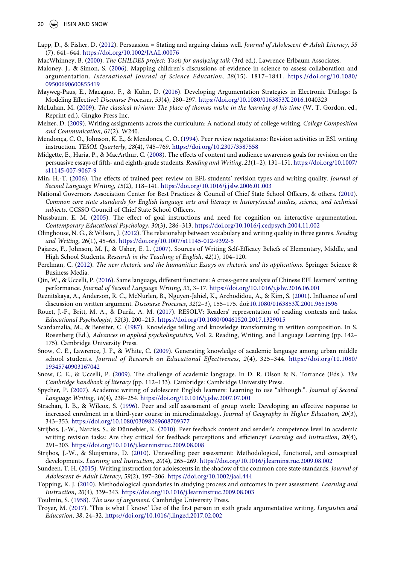- <span id="page-20-12"></span>Lapp, D., & Fisher, D. [\(2012](#page-3-7)). Persuasion = Stating and arguing claims well. *Journal of Adolescent & Adult Literacy*, *55*  (7), 641–644. <https://doi.org/10.1002/JAAL.00076>
- <span id="page-20-22"></span>MacWhinney, B. [\(2000\)](#page-8-1). *The CHILDES project: Tools for analyzing talk* (3rd ed.). Lawrence Erlbaum Associates.
- <span id="page-20-4"></span>Maloney, J., & Simon, S. [\(2006\)](#page-2-9). Mapping children's discussions of evidence in science to assess collaboration and argumentation. *International Journal of Science Education*, *28*(15), 1817–1841. [https://doi.org/10.1080/](https://doi.org/10.1080/09500690600855419) [09500690600855419](https://doi.org/10.1080/09500690600855419)
- <span id="page-20-1"></span>Mayweg-Paus, E., Macagno, F., & Kuhn, D. ([2016\)](#page-2-10). Developing Argumentation Strategies in Electronic Dialogs: Is Modeling Effective? *Discourse Processes*, *53*(4), 280–297. [https://doi.org/10.1080/0163853X.](https://doi.org/10.1080/0163853X)[2016](#page-2-10).1040323
- <span id="page-20-2"></span>McLuhan, M. [\(2009](#page-2-11)). *The classical trivium: The place of thomas nashe in the learning of his time* (W. T. Gordon, ed., Reprint ed.). Gingko Press Inc.
- <span id="page-20-8"></span>Melzer, D. [\(2009](#page-3-8)). Writing assignments across the curriculum: A national study of college writing. *College Composition and Communication*, *61*(2), W240.
- <span id="page-20-17"></span>Mendonça, C. O., Johnson, K. E., & Mendonca, C. O. [\(1994\)](#page-4-10). Peer review negotiations: Revision activities in ESL writing instruction. *TESOL Quarterly*, *28*(4), 745–769. <https://doi.org/10.2307/3587558>
- <span id="page-20-11"></span>Midgette, E., Haria, P., & MacArthur, C. ([2008](#page-3-9)). The effects of content and audience awareness goals for revision on the persuasive essays of fifth- and eighth-grade students. *Reading and Writing*, *21*(1–2), 131–151. [https://doi.org/10.1007/](https://doi.org/10.1007/s11145-007-9067-9)  [s11145-007-9067-9](https://doi.org/10.1007/s11145-007-9067-9)
- <span id="page-20-18"></span>Min, H.-T. ([2006](#page-4-10)). The effects of trained peer review on EFL students' revision types and writing quality. *Journal of Second Language Writing*, *15*(2), 118–141. <https://doi.org/10.1016/j.jslw.2006.01.003>
- <span id="page-20-0"></span>National Governors Association Center for Best Practices & Council of Chief State School Officers, & others. ([2010](#page-1-5)). *Common core state standards for English language arts and literacy in history/social studies, science, and technical subjects*. CCSSO Council of Chief State School Officers.
- <span id="page-20-10"></span>Nussbaum, E. M. ([2005](#page-3-10)). The effect of goal instructions and need for cognition on interactive argumentation. *Contemporary Educational Psychology*, *30*(3), 286–313. <https://doi.org/10.1016/j.cedpsych.2004.11.002>
- <span id="page-20-6"></span>Olinghouse, N. G., & Wilson, J. ([2012\)](#page-3-3). The relationship between vocabulary and writing quality in three genres. *Reading and Writing*, *26*(1), 45–65. <https://doi.org/10.1007/s11145-012-9392-5>
- <span id="page-20-25"></span>Pajares, F., Johnson, M. J., & Usher, E. L. [\(2007\)](#page-15-1). Sources of Writing Self-Efficacy Beliefs of Elementary, Middle, and High School Students. *Research in the Teaching of English*, *42*(1), 104–120.
- <span id="page-20-7"></span>Perelman, C. ([2012\)](#page-3-11). *The new rhetoric and the humanities: Essays on rhetoric and its applications*. Springer Science & Business Media.
- <span id="page-20-23"></span>Qin, W., & Uccelli, P. ([2016\)](#page-14-1). Same language, different functions: A cross-genre analysis of Chinese EFL learners' writing performance. *Journal of Second Language Writing*, *33*, 3–17. <https://doi.org/10.1016/j.jslw.2016.06.001>
- <span id="page-20-24"></span>Reznitskaya, A., Anderson, R. C., McNurlen, B., Nguyen-Jahiel, K., Archodidou, A., & Kim, S. ([2001](#page-15-2)). Influence of oral discussion on written argument. *Discourse Processes*, *32*(2–3), 155–175. doi:[10.1080/0163853X.2001.9651596](https://doi.org/10.1080/0163853X.2001.9651596)
- <span id="page-20-13"></span>Rouet, J.-F., Britt, M. A., & Durik, A. M. ([2017](#page-3-12)). RESOLV: Readers' representation of reading contexts and tasks. *Educational Psychologist*, *52*(3), 200–215. <https://doi.org/10.1080/00461520.2017.1329015>
- <span id="page-20-9"></span>Scardamalia, M., & Bereiter, C. [\(1987\)](#page-3-0). Knowledge telling and knowledge transforming in written composition. In S. Rosenberg (Ed.), *Advances in applied psycholinguistics*, Vol. 2. Reading, Writing, and Language Learning (pp. 142– 175). Cambridge University Press.
- <span id="page-20-21"></span>Snow, C. E., Lawrence, J. F., & White, C. ([2009](#page-5-3)). Generating knowledge of academic language among urban middle school students. *Journal of Research on Educational Effectiveness*, *2*(4), 325–344. [https://doi.org/10.1080/](https://doi.org/10.1080/19345740903167042) [19345740903167042](https://doi.org/10.1080/19345740903167042)
- <span id="page-20-5"></span>Snow, C. E., & Uccelli, P. ([2009\)](#page-2-12). The challenge of academic language. In D. R. Olson & N. Torrance (Eds.), *The Cambridge handbook of literacy* (pp. 112–133). Cambridge: Cambridge University Press.
- <span id="page-20-19"></span>Spycher, P. [\(2007](#page-4-10)). Academic writing of adolescent English learners: Learning to use "although.". *Journal of Second Language Writing*, *16*(4), 238–254. <https://doi.org/10.1016/j.jslw.2007.07.001>
- <span id="page-20-14"></span>Strachan, I. B., & Wilcox, S. [\(1996\)](#page-4-1). Peer and self assessment of group work: Developing an effective response to increased enrolment in a third-year course in microclimatology. *Journal of Geography in Higher Education*, *20*(3), 343–353. <https://doi.org/10.1080/03098269608709377>
- <span id="page-20-20"></span>Strijbos, J.-W., Narciss, S., & Dünnebier, K. ([2010\)](#page-5-0). Peer feedback content and sender's competence level in academic writing revision tasks: Are they critical for feedback perceptions and efficiency? *Learning and Instruction*, *20*(4), 291–303. <https://doi.org/10.1016/j.learninstruc.2009.08.008>
- <span id="page-20-16"></span>Strijbos, J.-W., & Sluijsmans, D. ([2010\)](#page-4-11). Unravelling peer assessment: Methodological, functional, and conceptual developments. *Learning and Instruction*, *20*(4), 265–269. <https://doi.org/10.1016/j.learninstruc.2009.08.002>
- <span id="page-20-27"></span>Sundeen, T. H. ([2015](#page-17-1)). Writing instruction for adolescents in the shadow of the common core state standards. *Journal of Adolescent & Adult Literacy*, *59*(2), 197–206. <https://doi.org/10.1002/jaal.444>
- <span id="page-20-15"></span>Topping, K. J. ([2010](#page-4-9)). Methodological quandaries in studying process and outcomes in peer assessment. *Learning and Instruction*, *20*(4), 339–343. <https://doi.org/10.1016/j.learninstruc.2009.08.003>
- <span id="page-20-3"></span>Toulmin, S. ([1958](#page-2-13)). *The uses of argument*. Cambridge University Press.
- <span id="page-20-26"></span>Troyer, M. [\(2017](#page-16-0)). 'This is what I know:' Use of the first person in sixth grade argumentative writing. *Linguistics and Education*, *38*, 24–32. <https://doi.org/10.1016/j.linged.2017.02.002>